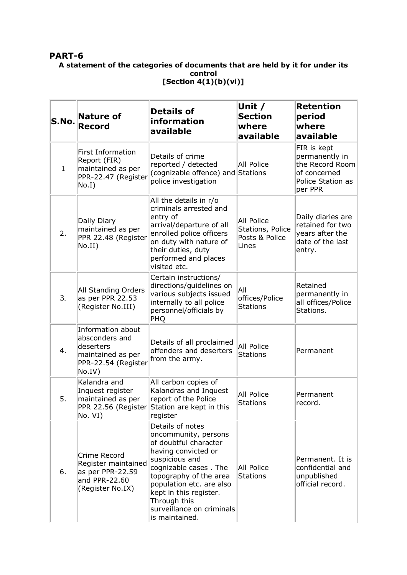## **PART-6**

## **A statement of the categories of documents that are held by it for under its control [Section 4(1)(b)(vi)]**

| S.No.        | <b>Nature of</b><br><b>Record</b>                                                                      | <b>Details of</b><br>information<br>available                                                                                                                                                                                                                                      | Unit /<br><b>Section</b><br>where<br>available                   | <b>Retention</b><br>period<br>where<br>available                                                 |
|--------------|--------------------------------------------------------------------------------------------------------|------------------------------------------------------------------------------------------------------------------------------------------------------------------------------------------------------------------------------------------------------------------------------------|------------------------------------------------------------------|--------------------------------------------------------------------------------------------------|
| $\mathbf{1}$ | <b>First Information</b><br>Report (FIR)<br>maintained as per<br>PPR-22.47 (Register<br>No.I)          | Details of crime<br>reported / detected<br>(cognizable offence) and Stations<br>police investigation                                                                                                                                                                               | <b>All Police</b>                                                | FIR is kept<br>permanently in<br>the Record Room<br>of concerned<br>Police Station as<br>per PPR |
| 2.           | Daily Diary<br>maintained as per<br>PPR 22.48 (Register<br>No.II)                                      | All the details in r/o<br>criminals arrested and<br>entry of<br>arrival/departure of all<br>enrolled police officers<br>on duty with nature of<br>their duties, duty<br>performed and places<br>visited etc.                                                                       | <b>All Police</b><br>Stations, Police<br>Posts & Police<br>Lines | Daily diaries are<br>retained for two<br>years after the<br>date of the last<br>entry.           |
| 3.           | All Standing Orders<br>as per PPR 22.53<br>(Register No.III)                                           | Certain instructions/<br>directions/guidelines on<br>various subjects issued<br>internally to all police<br>personnel/officials by<br>PHQ                                                                                                                                          | All<br>offices/Police<br><b>Stations</b>                         | Retained<br>permanently in<br>all offices/Police<br>Stations.                                    |
| 4.           | Information about<br>absconders and<br>deserters<br>maintained as per<br>PPR-22.54 (Register<br>No.IV) | Details of all proclaimed<br>offenders and deserters<br>from the army.                                                                                                                                                                                                             | <b>All Police</b><br><b>Stations</b>                             | Permanent                                                                                        |
| 5.           | Kalandra and<br>Inquest register<br>maintained as per<br>PPR 22.56 (Register  <br>No. VI)              | All carbon copies of<br>Kalandras and Inquest<br>report of the Police<br>Station are kept in this<br>register                                                                                                                                                                      | <b>All Police</b><br><b>Stations</b>                             | Permanent<br>record.                                                                             |
| 6.           | Crime Record<br>Register maintained<br>as per PPR-22.59<br>and PPR-22.60<br>(Register No.IX)           | Details of notes<br>oncommunity, persons<br>of doubtful character<br>having convicted or<br>suspicious and<br>cognizable cases. The<br>topography of the area<br>population etc. are also<br>kept in this register.<br>Through this<br>surveillance on criminals<br>is maintained. | <b>All Police</b><br><b>Stations</b>                             | Permanent. It is<br>confidential and<br>unpublished<br>official record.                          |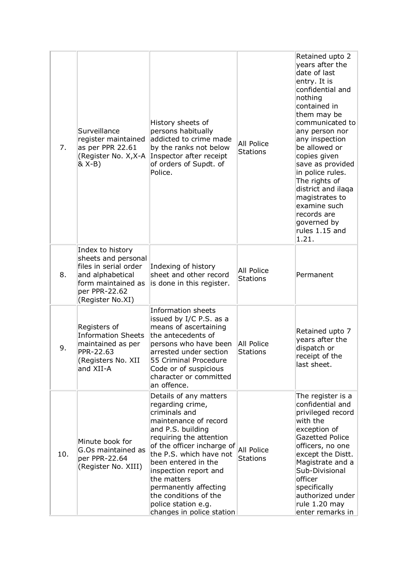| 7.  | Surveillance<br>register maintained<br>as per PPR 22.61<br>(Register No. X, X-A<br>& X-B)                                                       | History sheets of<br>persons habitually<br>addicted to crime made<br>by the ranks not below<br>Inspector after receipt<br>of orders of Supdt. of<br>Police.                                                                                                                                                                                                        | <b>All Police</b><br><b>Stations</b> | Retained upto 2<br>years after the<br>date of last<br>entry. It is<br>confidential and<br>nothing<br>contained in<br>them may be<br>communicated to<br>any person nor<br>any inspection<br>be allowed or<br>copies given<br>save as provided<br>in police rules.<br>The rights of<br>district and ilaqa<br>magistrates to<br>examine such<br>records are<br>governed by<br>rules 1.15 and<br>1.21. |
|-----|-------------------------------------------------------------------------------------------------------------------------------------------------|--------------------------------------------------------------------------------------------------------------------------------------------------------------------------------------------------------------------------------------------------------------------------------------------------------------------------------------------------------------------|--------------------------------------|----------------------------------------------------------------------------------------------------------------------------------------------------------------------------------------------------------------------------------------------------------------------------------------------------------------------------------------------------------------------------------------------------|
| 8.  | Index to history<br>sheets and personal<br>files in serial order<br>and alphabetical<br>form maintained as<br>per PPR-22.62<br>(Register No.XI) | Indexing of history<br>sheet and other record<br>is done in this register.                                                                                                                                                                                                                                                                                         | All Police<br><b>Stations</b>        | Permanent                                                                                                                                                                                                                                                                                                                                                                                          |
| 9.  | Registers of<br><b>Information Sheets</b><br>maintained as per<br>PPR-22.63<br>(Registers No. XII<br>and XII-A                                  | Information sheets<br>issued by I/C P.S. as a<br>means of ascertaining<br>the antecedents of<br>persons who have been<br>arrested under section<br>55 Criminal Procedure<br>Code or of suspicious<br>character or committed<br>an offence.                                                                                                                         | All Police<br><b>Stations</b>        | Retained upto 7<br>years after the<br>dispatch or<br>receipt of the<br>last sheet.                                                                                                                                                                                                                                                                                                                 |
| 10. | Minute book for<br>G.Os maintained as<br>per PPR-22.64<br>(Register No. XIII)                                                                   | Details of any matters<br>regarding crime,<br>criminals and<br>maintenance of record<br>and P.S. building<br>requiring the attention<br>of the officer incharge of<br>the P.S. which have not<br>been entered in the<br>inspection report and<br>the matters<br>permanently affecting<br>the conditions of the<br>police station e.g.<br>changes in police station | <b>All Police</b><br><b>Stations</b> | The register is a<br>confidential and<br>privileged record<br>with the<br>exception of<br><b>Gazetted Police</b><br>officers, no one<br>except the Distt.<br>Magistrate and a<br>Sub-Divisional<br>officer<br>specifically<br>authorized under<br>rule 1.20 may<br>enter remarks in                                                                                                                |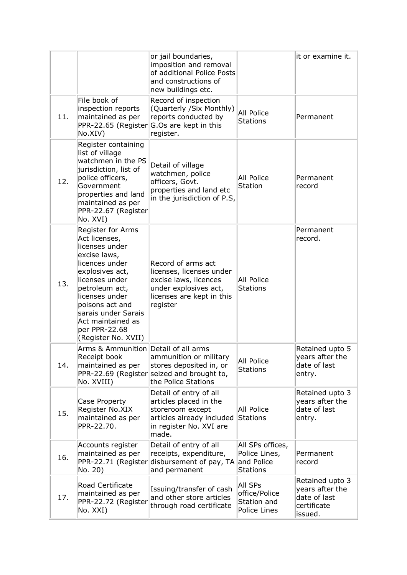|     |                                                                                                                                                                                                                                                                        | or jail boundaries,<br>imposition and removal<br>of additional Police Posts<br>and constructions of<br>new buildings etc.                 |                                                                    | it or examine it.                                                            |
|-----|------------------------------------------------------------------------------------------------------------------------------------------------------------------------------------------------------------------------------------------------------------------------|-------------------------------------------------------------------------------------------------------------------------------------------|--------------------------------------------------------------------|------------------------------------------------------------------------------|
| 11. | File book of<br>inspection reports<br>maintained as per<br>PPR-22.65 (Register<br>No.XIV)                                                                                                                                                                              | Record of inspection<br>(Quarterly /Six Monthly)<br>reports conducted by<br>G.Os are kept in this<br>register.                            | <b>All Police</b><br>Stations                                      | Permanent                                                                    |
| 12. | Register containing<br>list of village<br>watchmen in the PS<br>jurisdiction, list of<br>police officers,<br>Government<br>properties and land<br>maintained as per<br>PPR-22.67 (Register<br>No. XVI)                                                                 | Detail of village<br>watchmen, police<br>officers, Govt.<br>properties and land etc<br>in the jurisdiction of P.S,                        | <b>All Police</b><br><b>Station</b>                                | Permanent<br>record                                                          |
| 13. | Register for Arms<br>Act licenses,<br>licenses under<br>excise laws,<br>licences under<br>explosives act,<br>licenses under<br>petroleum act,<br>licenses under<br>poisons act and<br>sarais under Sarais<br>Act maintained as<br>per PPR-22.68<br>(Register No. XVII) | Record of arms act<br>licenses, licenses under<br>excise laws, licences<br>under explosives act,<br>licenses are kept in this<br>register | <b>All Police</b><br><b>Stations</b>                               | Permanent<br>record.                                                         |
| 14. | Arms & Ammunition Detail of all arms<br>Receipt book<br>maintained as per<br>No. XVIII)                                                                                                                                                                                | ammunition or military<br>stores deposited in, or<br>PPR-22.69 (Register seized and brought to,<br>the Police Stations                    | All Police<br><b>Stations</b>                                      | Retained upto 5<br>years after the<br>date of last<br>entry.                 |
| 15. | Case Property<br>Register No.XIX<br>maintained as per<br>PPR-22.70.                                                                                                                                                                                                    | Detail of entry of all<br>articles placed in the<br>storeroom except<br>articles already included<br>in register No. XVI are<br>made.     | <b>All Police</b><br><b>Stations</b>                               | Retained upto 3<br>years after the<br>date of last<br>entry.                 |
| 16. | Accounts register<br>maintained as per<br>PPR-22.71 (Register<br>No. 20)                                                                                                                                                                                               | Detail of entry of all<br>receipts, expenditure,<br>disbursement of pay, TA<br>and permanent                                              | All SPs offices,<br>Police Lines,<br>and Police<br><b>Stations</b> | Permanent<br>record                                                          |
| 17. | Road Certificate<br>maintained as per<br>PPR-22.72 (Register<br>No. XXI)                                                                                                                                                                                               | Issuing/transfer of cash<br>and other store articles<br>through road certificate                                                          | All SPs<br>office/Police<br>Station and<br>Police Lines            | Retained upto 3<br>years after the<br>date of last<br>certificate<br>issued. |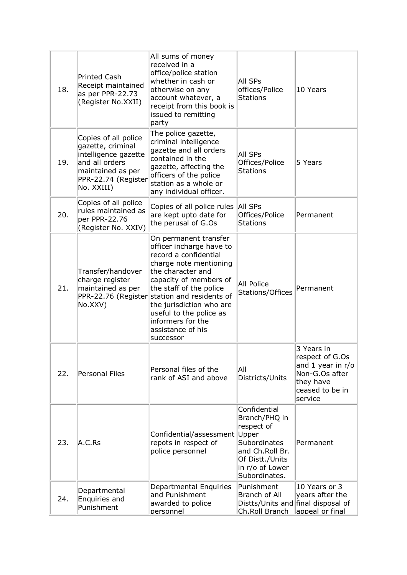| 18. | <b>Printed Cash</b><br>Receipt maintained<br>as per PPR-22.73<br>(Register No.XXII)                                                           | All sums of money<br>received in a<br>office/police station<br>whether in cash or<br>otherwise on any<br>account whatever, a<br>receipt from this book is<br>issued to remitting<br>party                                                                                                                                | <b>All SPs</b><br>offices/Police<br>Stations                                                                                                   | 10 Years                                                                                                        |
|-----|-----------------------------------------------------------------------------------------------------------------------------------------------|--------------------------------------------------------------------------------------------------------------------------------------------------------------------------------------------------------------------------------------------------------------------------------------------------------------------------|------------------------------------------------------------------------------------------------------------------------------------------------|-----------------------------------------------------------------------------------------------------------------|
| 19. | Copies of all police<br>gazette, criminal<br>intelligence gazette<br>and all orders<br>maintained as per<br>PPR-22.74 (Register<br>No. XXIII) | The police gazette,<br>criminal intelligence<br>gazette and all orders<br>contained in the<br>gazette, affecting the<br>officers of the police<br>station as a whole or<br>any individual officer.                                                                                                                       | <b>All SPs</b><br>Offices/Police<br><b>Stations</b>                                                                                            | 5 Years                                                                                                         |
| 20. | Copies of all police<br>rules maintained as<br>per PPR-22.76<br>(Register No. XXIV)                                                           | Copies of all police rules<br>are kept upto date for<br>the perusal of G.Os                                                                                                                                                                                                                                              | All SPs<br>Offices/Police<br><b>Stations</b>                                                                                                   | Permanent                                                                                                       |
| 21. | Transfer/handover<br>charge register<br>maintained as per<br>PPR-22.76 (Register<br>No.XXV)                                                   | On permanent transfer<br>officer incharge have to<br>record a confidential<br>charge note mentioning<br>the character and<br>capacity of members of<br>the staff of the police<br>station and residents of<br>the jurisdiction who are<br>useful to the police as<br>informers for the<br>assistance of his<br>successor | <b>All Police</b><br><b>Stations/Offices</b>                                                                                                   | Permanent                                                                                                       |
| 22. | <b>Personal Files</b>                                                                                                                         | Personal files of the<br>rank of ASI and above                                                                                                                                                                                                                                                                           | All<br>Districts/Units                                                                                                                         | 3 Years in<br>respect of G.Os<br>and 1 year in r/o<br>Non-G.Os after<br>they have<br>ceased to be in<br>service |
| 23. | A.C.Rs                                                                                                                                        | Confidential/assessment<br>repots in respect of<br>police personnel                                                                                                                                                                                                                                                      | Confidential<br>Branch/PHQ in<br>respect of<br>Upper<br>Subordinates<br>and Ch.Roll Br.<br>Of Distt./Units<br>in r/o of Lower<br>Subordinates. | Permanent                                                                                                       |
| 24. | Departmental<br>Enquiries and<br>Punishment                                                                                                   | Departmental Enquiries<br>and Punishment<br>awarded to police<br>personnel                                                                                                                                                                                                                                               | Punishment<br>Branch of All<br>Distts/Units and final disposal of<br>Ch.Roll Branch                                                            | 10 Years or 3<br>years after the<br>appeal or final                                                             |